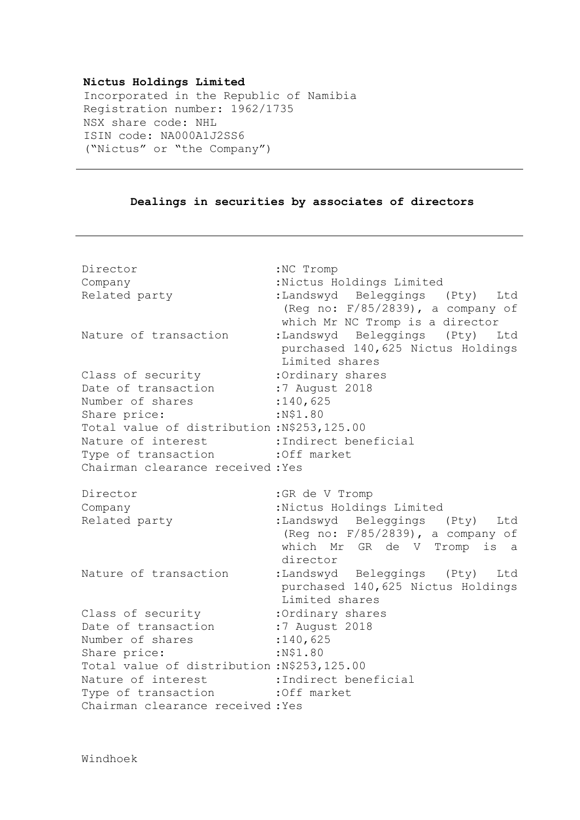## **Nictus Holdings Limited**

Incorporated in the Republic of Namibia Registration number: 1962/1735 NSX share code: NHL ISIN code: NA000A1J2SS6 ("Nictus" or "the Company")

## **Dealings in securities by associates of directors**

| Director                                                             | :NC Tromp                                                                                              |
|----------------------------------------------------------------------|--------------------------------------------------------------------------------------------------------|
| Company                                                              | :Nictus Holdings Limited                                                                               |
| Related party                                                        | :Landswyd Beleggings (Pty) Ltd<br>(Reg no: F/85/2839), a company of<br>which Mr NC Tromp is a director |
| Nature of transaction                                                | :Landswyd Beleggings (Pty) Ltd<br>purchased 140,625 Nictus Holdings<br>Limited shares                  |
| Class of security                                                    | :Ordinary shares                                                                                       |
| Date of transaction                                                  | :7 August 2018                                                                                         |
| Number of shares                                                     | : 140, 625                                                                                             |
| Share price:                                                         | :N\$1.80                                                                                               |
| Total value of distribution: N\$253, 125.00                          |                                                                                                        |
| Nature of interest                                                   | :Indirect beneficial                                                                                   |
| Type of transaction : Off market                                     |                                                                                                        |
| Chairman clearance received: Yes                                     |                                                                                                        |
| Director                                                             | : GR de V Tromp                                                                                        |
| Company                                                              | :Nictus Holdings Limited                                                                               |
| Related party                                                        | :Landswyd Beleggings (Pty) Ltd<br>(Reg no: $F/85/2839$ ), a company of                                 |
|                                                                      | which Mr GR de V Tromp is a<br>director                                                                |
| Nature of transaction                                                | :Landswyd Beleggings (Pty) Ltd<br>purchased 140,625 Nictus Holdings<br>Limited shares                  |
| Class of security                                                    | :Ordinary shares                                                                                       |
| Date of transaction                                                  | :7 August 2018                                                                                         |
| Number of shares                                                     | : 140, 625                                                                                             |
| Share price:                                                         | :N\$1.80                                                                                               |
| Total value of distribution: N\$253, 125.00                          |                                                                                                        |
| Nature of interest                                                   | :Indirect beneficial                                                                                   |
| Type of transaction : Off market<br>Chairman clearance received: Yes |                                                                                                        |

Windhoek